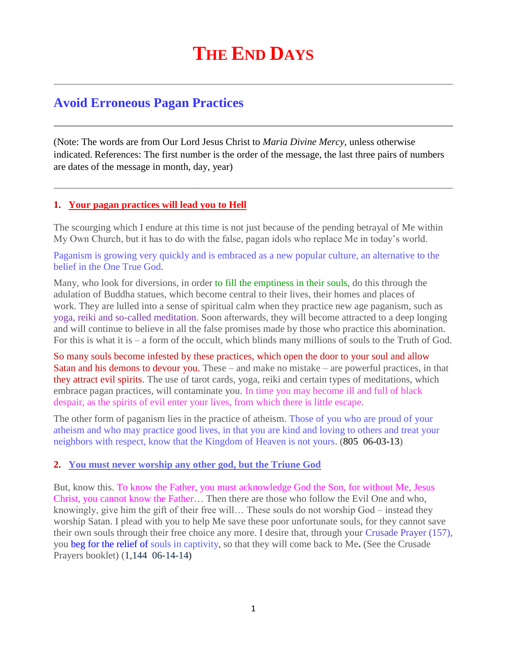## **Avoid Erroneous Pagan Practices**

(Note: The words are from Our Lord Jesus Christ to *Maria Divine Mercy*, unless otherwise indicated. References: The first number is the order of the message, the last three pairs of numbers are dates of the message in month, day, year)

## **1. [Your pagan practices will lead you to Hell](http://www.thewarningsecondcoming.com/your-pagan-practices-will-lead-you-to-hell/)**

The scourging which I endure at this time is not just because of the pending betrayal of Me within My Own Church, but it has to do with the false, pagan idols who replace Me in today's world.

Paganism is growing very quickly and is embraced as a new popular culture, an alternative to the belief in the One True God.

Many, who look for diversions, in order to fill the emptiness in their souls, do this through the adulation of Buddha statues, which become central to their lives, their homes and places of work. They are lulled into a sense of spiritual calm when they practice new age paganism, such as yoga, reiki and so-called meditation. Soon afterwards, they will become attracted to a deep longing and will continue to believe in all the false promises made by those who practice this abomination. For this is what it is – a form of the occult, which blinds many millions of souls to the Truth of God.

So many souls become infested by these practices, which open the door to your soul and allow Satan and his demons to devour you. These – and make no mistake – are powerful practices, in that they attract evil spirits. The use of tarot cards, yoga, reiki and certain types of meditations, which embrace pagan practices, will contaminate you. In time you may become ill and full of black despair, as the spirits of evil enter your lives, from which there is little escape.

The other form of paganism lies in the practice of atheism. Those of you who are proud of your atheism and who may practice good lives, in that you are kind and loving to others and treat your neighbors with respect, know that the Kingdom of Heaven is not yours. (805 06-03-13)

## **2. [You must never worship any other god, but the Triune God](http://www.thewarningsecondcoming.com/you-must-never-worship-any-other-god-but-the-triune-god/)**

But, know this. To know the Father, you must acknowledge God the Son, for without Me, Jesus Christ, you cannot know the Father… Then there are those who follow the Evil One and who, knowingly, give him the gift of their free will… These souls do not worship God – instead they worship Satan. I plead with you to help Me save these poor unfortunate souls, for they cannot save their own souls through their free choice any more. I desire that, through your Crusade Prayer (157), you beg for the relief of souls in captivity, so that they will come back to Me**.** (See the Crusade Prayers booklet) (1,144 06-14-14**)**